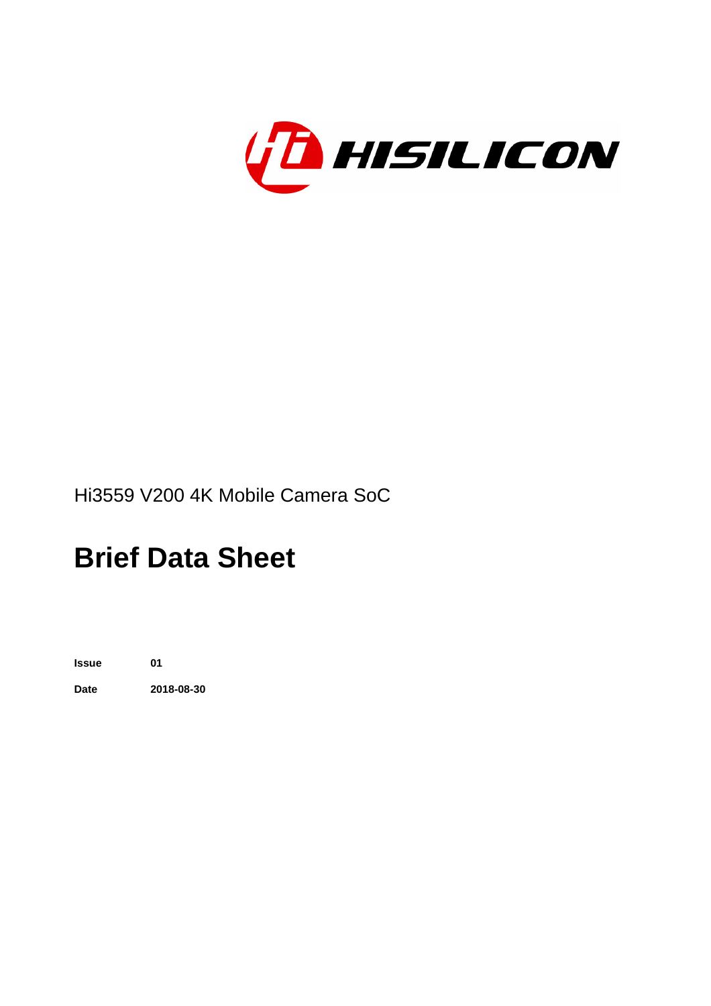

# **Brief Data Sheet**

**Issue 01 Date 2018-08-30**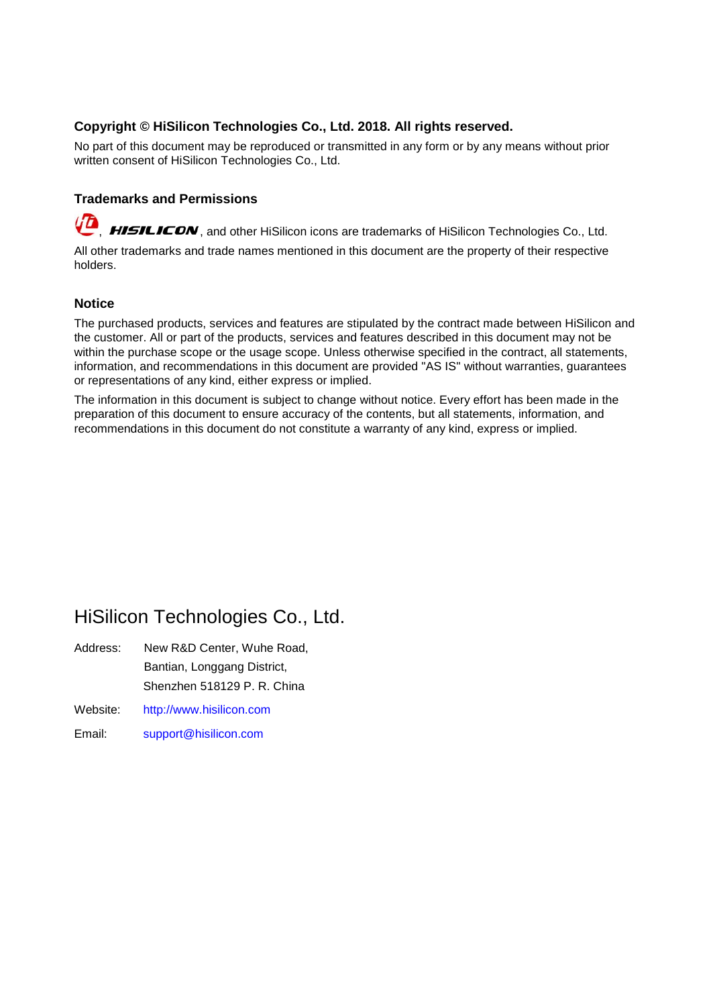### **Copyright © HiSilicon Technologies Co., Ltd. 2018. All rights reserved.**

No part of this document may be reproduced or transmitted in any form or by any means without prior written consent of HiSilicon Technologies Co., Ltd.

### **Trademarks and Permissions**

HISILICON, and other HiSilicon icons are trademarks of HiSilicon Technologies Co., Ltd.

All other trademarks and trade names mentioned in this document are the property of their respective holders.

#### **Notice**

The purchased products, services and features are stipulated by the contract made between HiSilicon and the customer. All or part of the products, services and features described in this document may not be within the purchase scope or the usage scope. Unless otherwise specified in the contract, all statements, information, and recommendations in this document are provided "AS IS" without warranties, guarantees or representations of any kind, either express or implied.

The information in this document is subject to change without notice. Every effort has been made in the preparation of this document to ensure accuracy of the contents, but all statements, information, and recommendations in this document do not constitute a warranty of any kind, express or implied.

### HiSilicon Technologies Co., Ltd.

- Address: New R&D Center, Wuhe Road, Bantian, Longgang District, Shenzhen 518129 P. R. China
- Website: <http://www.hisilicon.com>
- Email: [support@hisilicon.com](mailto:support@hisilicon.com)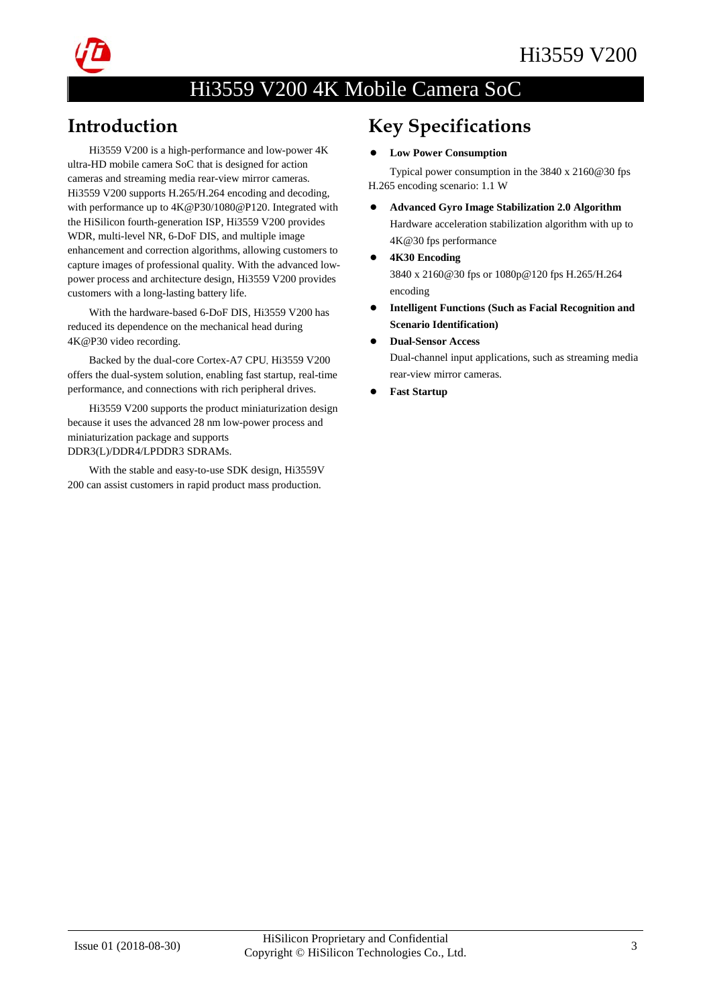

### Introduction

Hi3559 V200 is a high-performance and low-power 4K ultra-HD mobile camera SoC that is designed for action cameras and streaming media rear-view mirror cameras. Hi3559 V200 supports H.265/H.264 encoding and decoding, with performance up to 4K@P30/1080@P120. Integrated with the HiSilicon fourth-generation ISP, Hi3559 V200 provides WDR, multi-level NR, 6-DoF DIS, and multiple image enhancement and correction algorithms, allowing customers to capture images of professional quality. With the advanced lowpower process and architecture design, Hi3559 V200 provides customers with a long-lasting battery life.

With the hardware-based 6-DoF DIS, Hi3559 V200 has reduced its dependence on the mechanical head during 4K@P30 video recording.

Backed by the dual-core Cortex-A7 CPU, Hi3559 V200 offers the dual-system solution, enabling fast startup, real-time performance, and connections with rich peripheral drives.

Hi3559 V200 supports the product miniaturization design because it uses the advanced 28 nm low-power process and miniaturization package and supports DDR3(L)/DDR4/LPDDR3 SDRAMs.

With the stable and easy-to-use SDK design, Hi3559V 200 can assist customers in rapid product mass production.

# Key Specifications

#### - **Low Power Consumption**

Typical power consumption in the 3840 x 2160@30 fps H.265 encoding scenario: 1.1 W

- $\bullet$  **Advanced Gyro Image Stabilization 2.0 Algorithm**  Hardware acceleration stabilization algorithm with up to 4K@30 fps performance
- $\bullet$  **4K30 Encoding** 3840 x 2160@30 fps or 1080p@120 fps H.265/H.264 encoding
- $\bullet$  **Intelligent Functions (Such as Facial Recognition and Scenario Identification)**
- $\bullet$  **Dual-Sensor Access** Dual-channel input applications, such as streaming media rear-view mirror cameras.
- $\bullet$ **Fast Startup**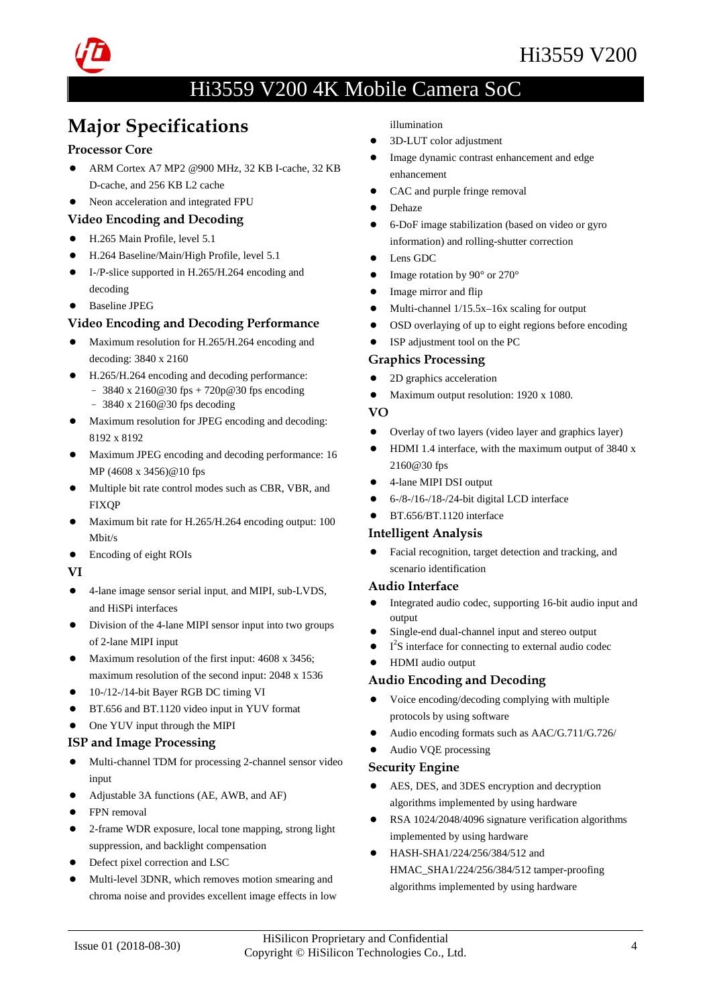

# Major Specifications

### Processor Core

- $\bullet$  ARM Cortex A7 MP2 @900 MHz, 32 KB I-cache, 32 KB D-cache, and 256 KB L2 cache
- $\bullet$ Neon acceleration and integrated FPU

### Video Encoding and Decoding

- H.265 Main Profile, level 5.1
- H.264 Baseline/Main/High Profile, level 5.1
- I-/P-slice supported in H.265/H.264 encoding and decoding
- **•** Baseline JPEG

### Video Encoding and Decoding Performance

- $\bullet$  Maximum resolution for H.265/H.264 encoding and decoding: 3840 x 2160
- H.265/H.264 encoding and decoding performance:
	- − 3840 x 2160@30 fps + 720p@30 fps encoding − 3840 x 2160@30 fps decoding
- $\bullet$  Maximum resolution for JPEG encoding and decoding: 8192 x 8192
- Maximum JPEG encoding and decoding performance: 16 MP (4608 x 3456)@10 fps
- Multiple bit rate control modes such as CBR, VBR, and **FIXOP**
- Maximum bit rate for H.265/H.264 encoding output: 100 Mbit/s
- Encoding of eight ROIs

#### VI

- 4-lane image sensor serial input, and MIPI, sub-LVDS, and HiSPi interfaces
- Division of the 4-lane MIPI sensor input into two groups of 2-lane MIPI input
- Maximum resolution of the first input: 4608 x 3456; maximum resolution of the second input: 2048 x 1536
- $\bullet$  10-/12-/14-bit Bayer RGB DC timing VI
- BT.656 and BT.1120 video input in YUV format
- One YUV input through the MIPI

### ISP and Image Processing

- $\bullet$  Multi-channel TDM for processing 2-channel sensor video input
- Adjustable 3A functions (AE, AWB, and AF)
- FPN removal
- $\bullet$  2-frame WDR exposure, local tone mapping, strong light suppression, and backlight compensation
- Defect pixel correction and LSC
- $\bullet$  Multi-level 3DNR, which removes motion smearing and chroma noise and provides excellent image effects in low

illumination

- $\bullet$ 3D-LUT color adjustment
- $\bullet$  Image dynamic contrast enhancement and edge enhancement
- $\bullet$ CAC and purple fringe removal
- $\bullet$ Dehaze
- $\bullet$  6-DoF image stabilization (based on video or gyro information) and rolling-shutter correction
- $\bullet$ Lens GDC
- $\bullet$ Image rotation by 90° or 270°
- $\bullet$ Image mirror and flip
- $\bullet$ Multi-channel 1/15.5x–16x scaling for output
- $\bullet$ OSD overlaying of up to eight regions before encoding
- $\bullet$ ISP adjustment tool on the PC

### Graphics Processing

- $\bullet$ 2D graphics acceleration
- $\bullet$ Maximum output resolution: 1920 x 1080.

### VO

- $\bullet$ Overlay of two layers (video layer and graphics layer)
- $\bullet$  HDMI 1.4 interface, with the maximum output of 3840 x 2160@30 fps
- $\bullet$ 4-lane MIPI DSI output
- $\bullet$ 6-/8-/16-/18-/24-bit digital LCD interface
- $\bullet$ BT.656/BT.1120 interface

### Intelligent Analysis

 $\bullet$  Facial recognition, target detection and tracking, and scenario identification

#### Audio Interface

- $\bullet$  Integrated audio codec, supporting 16-bit audio input and output
- $\bullet$ Single-end dual-channel input and stereo output
- $\bullet$  $\bullet$  I<sup>2</sup>S interface for connecting to external audio codec
- $\bullet$ HDMI audio output

### Audio Encoding and Decoding

- $\bullet$  Voice encoding/decoding complying with multiple protocols by using software
- $\bullet$ Audio encoding formats such as AAC/G.711/G.726/
- $\bullet$ Audio VQE processing

### Security Engine

- $\bullet$  AES, DES, and 3DES encryption and decryption algorithms implemented by using hardware
- $\bullet$  RSA 1024/2048/4096 signature verification algorithms implemented by using hardware
- $\bullet$  HASH-SHA1/224/256/384/512 and HMAC\_SHA1/224/256/384/512 tamper-proofing algorithms implemented by using hardware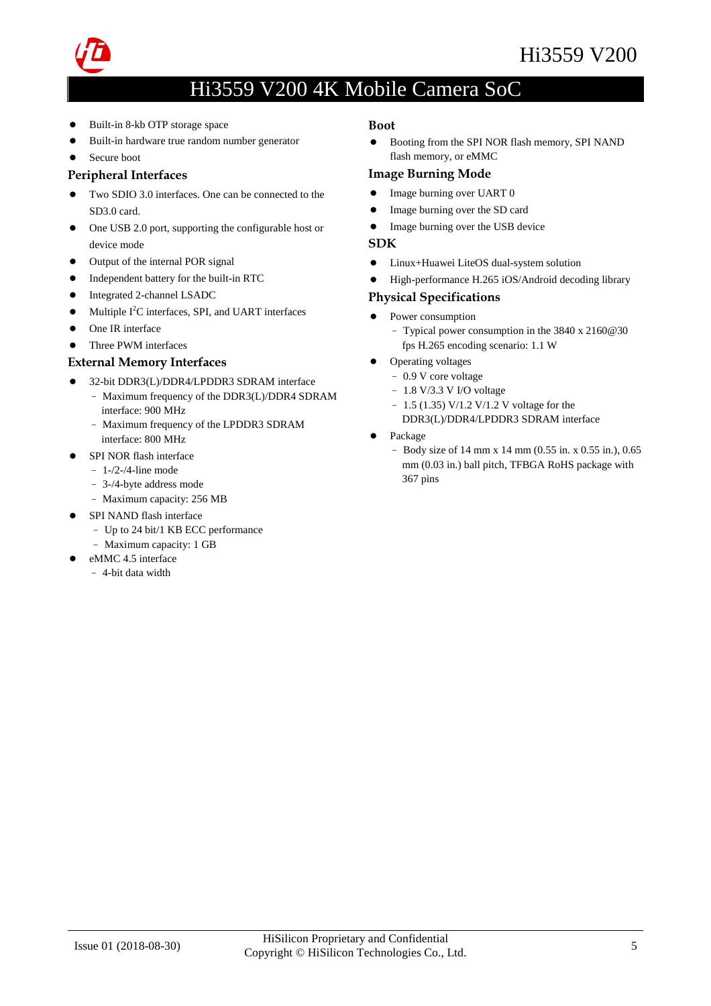

- $\bullet$ Built-in 8-kb OTP storage space
- $\bullet$ Built-in hardware true random number generator
- $\bullet$ Secure boot

### Peripheral Interfaces

- $\bullet$  Two SDIO 3.0 interfaces. One can be connected to the SD3.0 card.
- $\bullet$  One USB 2.0 port, supporting the configurable host or device mode
- $\bullet$ Output of the internal POR signal
- $\bullet$ Independent battery for the built-in RTC
- -Integrated 2-channel LSADC
- $\bullet$  $\bullet$  Multiple I<sup>2</sup>C interfaces, SPI, and UART interfaces
- $\bullet$ One IR interface
- $\bullet$ Three PWM interfaces

### External Memory Interfaces

- $\bullet$  32-bit DDR3(L)/DDR4/LPDDR3 SDRAM interface − Maximum frequency of the DDR3(L)/DDR4 SDRAM
	- interface: 900 MHz − Maximum frequency of the LPDDR3 SDRAM
	- interface: 800 MHz
- $\bullet$  SPI NOR flash interface
	- − 1-/2-/4-line mode
	- − 3-/4-byte address mode
	- − Maximum capacity: 256 MB
- SPI NAND flash interface
	- − Up to 24 bit/1 KB ECC performance
	- − Maximum capacity: 1 GB
- eMMC 4.5 interface

#### − 4-bit data width

#### Boot

 $\bullet$  Booting from the SPI NOR flash memory, SPI NAND flash memory, or eMMC

#### Image Burning Mode

- $\bullet$ Image burning over UART 0
- $\bullet$ Image burning over the SD card
- $\bullet$ Image burning over the USB device

#### SDK

- $\bullet$ Linux+Huawei LiteOS dual-system solution
- $\bullet$ High-performance H.265 iOS/Android decoding library

#### Physical Specifications

- $\bullet$  Power consumption
	- − Typical power consumption in the 3840 x 2160@30 fps H.265 encoding scenario: 1.1 W
- $\bullet$  Operating voltages
	- − 0.9 V core voltage
	- − 1.8 V/3.3 V I/O voltage
	- − 1.5 (1.35) V/1.2 V/1.2 V voltage for the
	- DDR3(L)/DDR4/LPDDR3 SDRAM interface
- $\bullet$  Package
	- − Body size of 14 mm x 14 mm (0.55 in. x 0.55 in.), 0.65 mm (0.03 in.) ball pitch, TFBGA RoHS package with 367 pins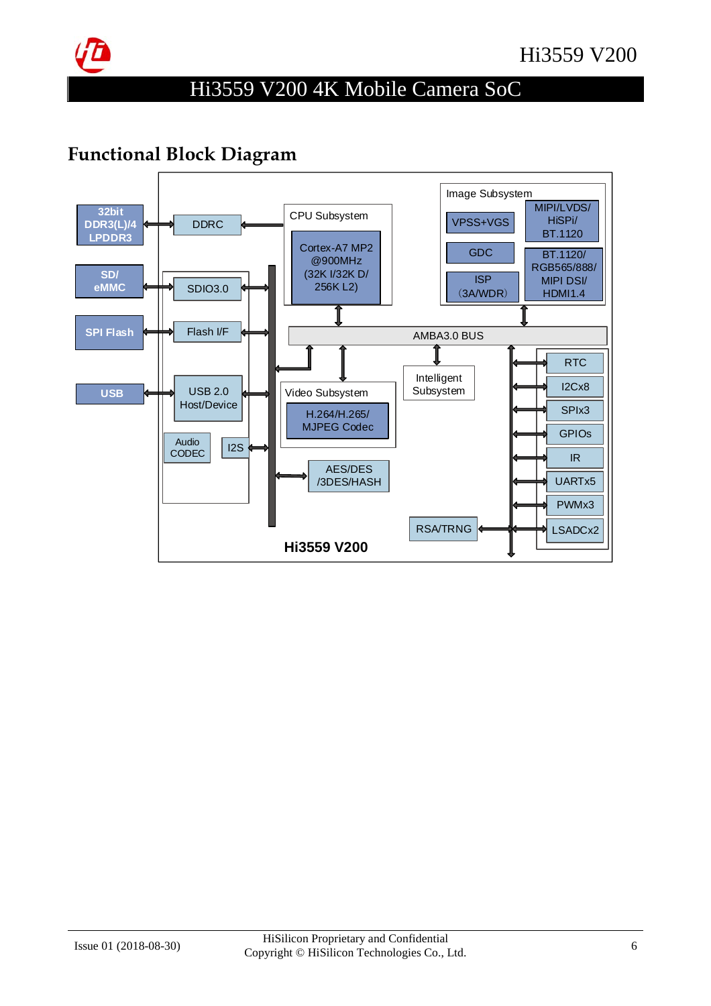

## Functional Block Diagram

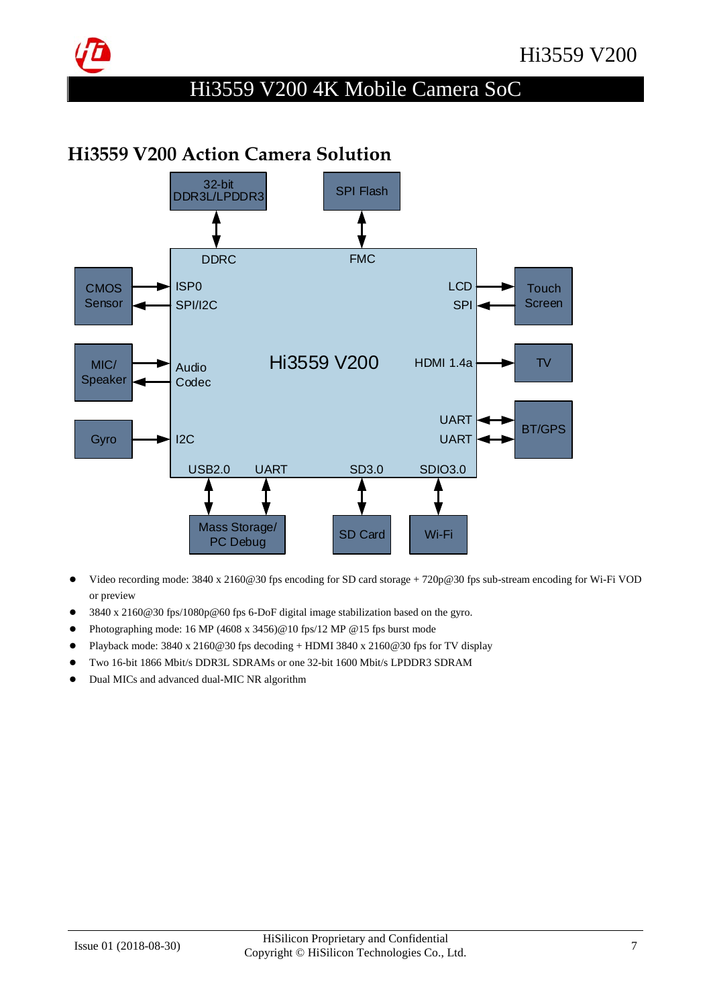

### Hi3559 V200 Action Camera Solution



- - Video recording mode: 3840 x 2160@30 fps encoding for SD card storage + 720p@30 fps sub-stream encoding for Wi-Fi VOD or preview
- $\bullet$ 3840 x 2160@30 fps/1080p@60 fps 6-DoF digital image stabilization based on the gyro.
- $\bullet$ Photographing mode: 16 MP (4608 x 3456)@10 fps/12 MP @15 fps burst mode
- $\bullet$ Playback mode: 3840 x 2160@30 fps decoding + HDMI 3840 x 2160@30 fps for TV display
- $\bullet$ Two 16-bit 1866 Mbit/s DDR3L SDRAMs or one 32-bit 1600 Mbit/s LPDDR3 SDRAM
- $\bullet$ Dual MICs and advanced dual-MIC NR algorithm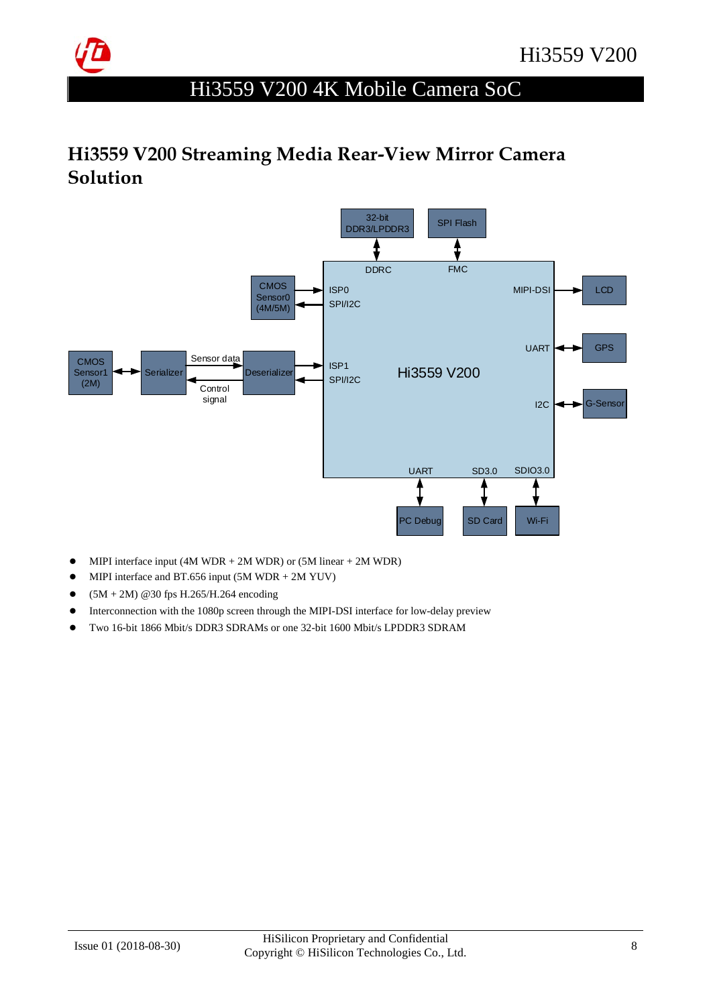

## Hi3559 V200 Streaming Media Rear-View Mirror Camera Solution



- $\bullet$ MIPI interface input (4M WDR + 2M WDR) or  $(5M linear + 2M WDR)$
- $\bullet$ MIPI interface and BT.656 input (5M WDR + 2M YUV)
- $\bullet$ (5M + 2M) @30 fps H.265/H.264 encoding
- $\bullet$ Interconnection with the 1080p screen through the MIPI-DSI interface for low-delay preview
- -Two 16-bit 1866 Mbit/s DDR3 SDRAMs or one 32-bit 1600 Mbit/s LPDDR3 SDRAM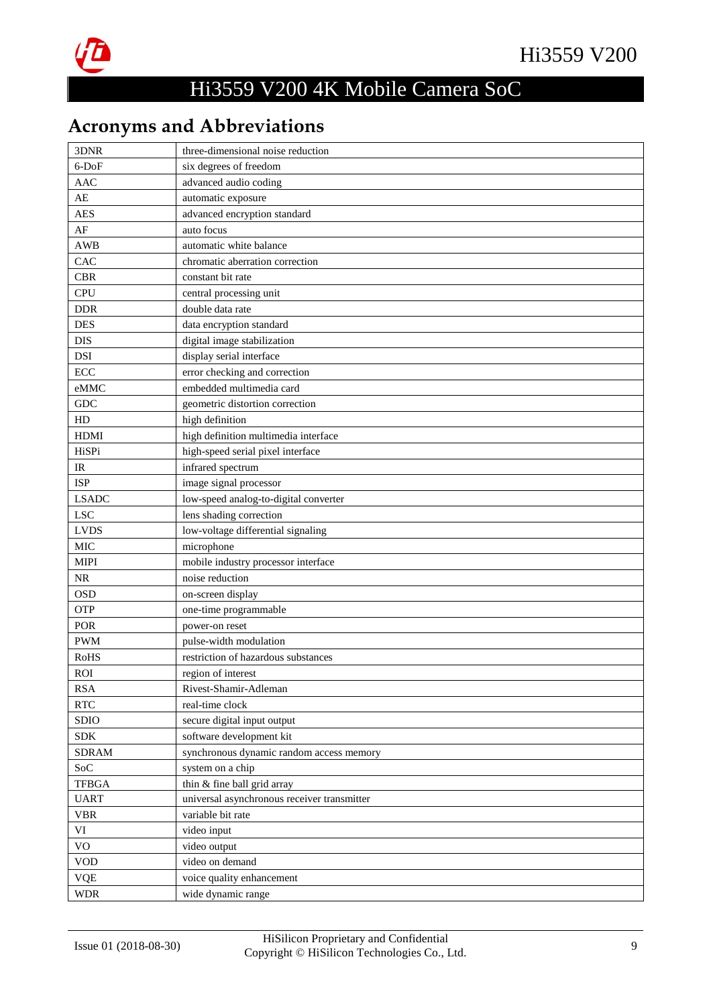

# Acronyms and Abbreviations

| 3DNR                      | three-dimensional noise reduction           |
|---------------------------|---------------------------------------------|
| 6-DoF                     | six degrees of freedom                      |
| <b>AAC</b>                | advanced audio coding                       |
| $AE$                      | automatic exposure                          |
| <b>AES</b>                | advanced encryption standard                |
| $\rm AF$                  | auto focus                                  |
| <b>AWB</b>                | automatic white balance                     |
| CAC                       | chromatic aberration correction             |
| <b>CBR</b>                | constant bit rate                           |
| <b>CPU</b>                | central processing unit                     |
| <b>DDR</b>                | double data rate                            |
| <b>DES</b>                | data encryption standard                    |
| DIS                       | digital image stabilization                 |
| <b>DSI</b>                | display serial interface                    |
| ECC                       | error checking and correction               |
| eMMC                      | embedded multimedia card                    |
| <b>GDC</b>                | geometric distortion correction             |
| HD                        | high definition                             |
| <b>HDMI</b>               | high definition multimedia interface        |
| HiSPi                     | high-speed serial pixel interface           |
| IR                        | infrared spectrum                           |
| <b>ISP</b>                | image signal processor                      |
| <b>LSADC</b>              | low-speed analog-to-digital converter       |
| <b>LSC</b>                | lens shading correction                     |
| <b>LVDS</b>               | low-voltage differential signaling          |
| <b>MIC</b>                | microphone                                  |
| <b>MIPI</b>               | mobile industry processor interface         |
| NR                        | noise reduction                             |
| <b>OSD</b>                | on-screen display                           |
| OTP                       | one-time programmable                       |
| POR                       | power-on reset                              |
| <b>PWM</b>                | pulse-width modulation                      |
| <b>RoHS</b>               | restriction of hazardous substances         |
| <b>ROI</b>                | region of interest                          |
| <b>RSA</b>                | Rivest-Shamir-Adleman                       |
| $\ensuremath{\text{RTC}}$ | real-time clock                             |
| SDIO                      | secure digital input output                 |
| <b>SDK</b>                | software development kit                    |
| <b>SDRAM</b>              | synchronous dynamic random access memory    |
| SoC                       | system on a chip                            |
| <b>TFBGA</b>              | thin & fine ball grid array                 |
| <b>UART</b>               | universal asynchronous receiver transmitter |
| <b>VBR</b>                | variable bit rate                           |
| VI                        | video input                                 |
| $\rm VO$                  | video output                                |
| <b>VOD</b>                | video on demand                             |
| <b>VQE</b>                | voice quality enhancement                   |
| <b>WDR</b>                | wide dynamic range                          |